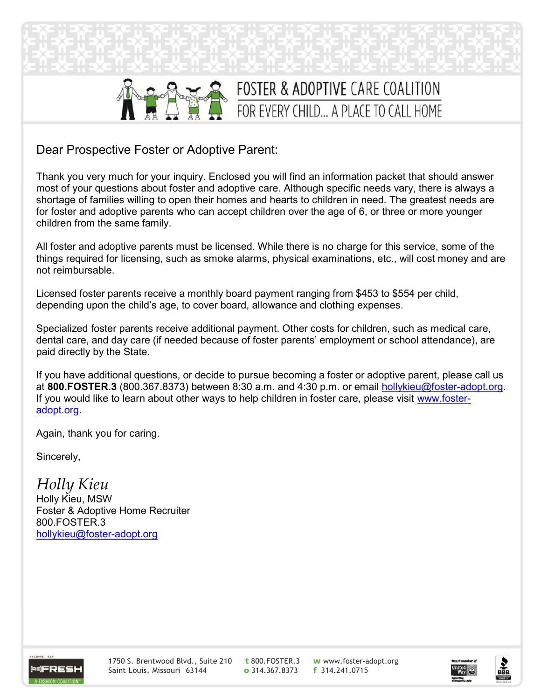

## **POSTER & ADOPTIVE CARE COALITION** FOR EVERY CHILD... A PLACE TO CALL HOME

Dear Prospective Foster or Adoptive Parent:

Thank you very much for your inquiry. Enclosed you will find an information packet that should answer most of your questions about foster and adoptive care. Although specific needs vary, there is always a shortage of families willing to open their homes and hearts to children in need. The greatest needs are for foster and adoptive parents who can accept children over the age of 6, or three or more younger children from the same family.

All foster and adoptive parents must be licensed. While there is no charge for this service, some of the things required for licensing, such as smoke alarms, physical examinations, etc., will cost money and are not reimbursable.

Licensed foster parents receive a monthly board payment ranging from \$453 to \$554 per child, depending upon the child's age, to cover board, allowance and clothing expenses.

Specialized foster parents receive additional payment. Other costs for children, such as medical care, dental care, and day care (if needed because of foster parents' employment or school attendance), are paid directly by the State.

If you have additional questions, or decide to pursue becoming a foster or adoptive parent, please call us at 800.FOSTER.3 (800.367.8373) between 8:30 a.m. and 4:30 p.m. or email hollykieu@foster-adopt.org. If you would like to learn about other ways to help children in foster care, please visit www.fosteradopt.org.

Again, thank you for caring.

Sincerely,

Holly Kieu Holly Kieu, MSW Foster & Adoptive Home Recruiter 800.FOSTER.3 hollykieu@foster-adopt.org



1750 S. Brentwood Blvd., Suite 210 t 800.FOSTER.3 w www.foster-adopt.org Saint Louis, Missouri 63144 **o** 314.367.8373 **f** 314.241.0715



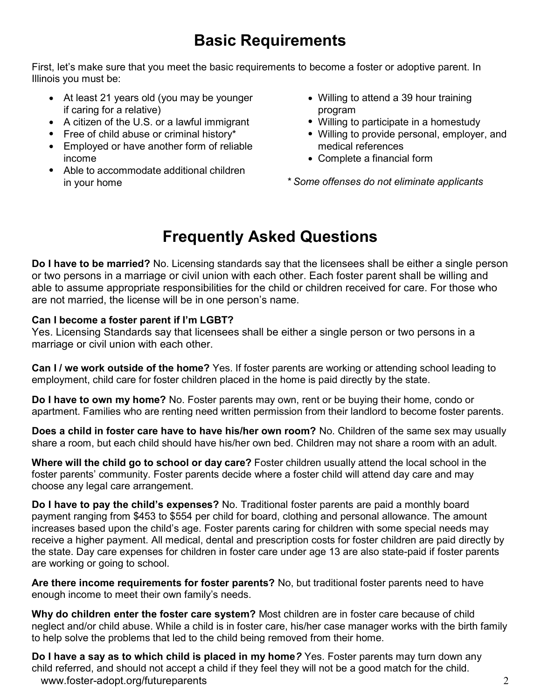### Basic Requirements

First, let's make sure that you meet the basic requirements to become a foster or adoptive parent. In Illinois you must be:

- At least 21 years old (you may be younger if caring for a relative)
- A citizen of the U.S. or a lawful immigrant
- Free of child abuse or criminal history\*
- Employed or have another form of reliable income
- Able to accommodate additional children in your home
- Willing to attend a 39 hour training program
- Willing to participate in a homestudy
- Willing to provide personal, employer, and medical references
- Complete a financial form
- \* Some offenses do not eliminate applicants

### Frequently Asked Questions

Do I have to be married? No. Licensing standards say that the licensees shall be either a single person or two persons in a marriage or civil union with each other. Each foster parent shall be willing and able to assume appropriate responsibilities for the child or children received for care. For those who are not married, the license will be in one person's name.

#### Can I become a foster parent if I'm LGBT?

Yes. Licensing Standards say that licensees shall be either a single person or two persons in a marriage or civil union with each other.

Can I / we work outside of the home? Yes. If foster parents are working or attending school leading to employment, child care for foster children placed in the home is paid directly by the state.

Do I have to own my home? No. Foster parents may own, rent or be buying their home, condo or apartment. Families who are renting need written permission from their landlord to become foster parents.

Does a child in foster care have to have his/her own room? No. Children of the same sex may usually share a room, but each child should have his/her own bed. Children may not share a room with an adult.

Where will the child go to school or day care? Foster children usually attend the local school in the foster parents' community. Foster parents decide where a foster child will attend day care and may choose any legal care arrangement.

Do I have to pay the child's expenses? No. Traditional foster parents are paid a monthly board payment ranging from \$453 to \$554 per child for board, clothing and personal allowance. The amount increases based upon the child's age. Foster parents caring for children with some special needs may receive a higher payment. All medical, dental and prescription costs for foster children are paid directly by the state. Day care expenses for children in foster care under age 13 are also state-paid if foster parents are working or going to school.

Are there income requirements for foster parents? No, but traditional foster parents need to have enough income to meet their own family's needs.

Why do children enter the foster care system? Most children are in foster care because of child neglect and/or child abuse. While a child is in foster care, his/her case manager works with the birth family to help solve the problems that led to the child being removed from their home.

www.foster-adopt.org/futureparents 2 Do I have a say as to which child is placed in my home? Yes. Foster parents may turn down any child referred, and should not accept a child if they feel they will not be a good match for the child.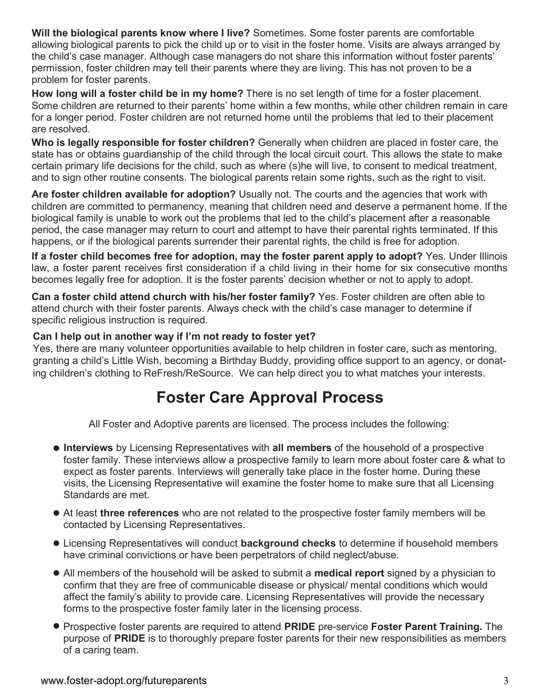Will the biological parents know where I live? Sometimes. Some foster parents are comfortable allowing biological parents to pick the child up or to visit in the foster home. Visits are always arranged by the child's case manager. Although case managers do not share this information without foster parents' permission, foster children may tell their parents where they are living. This has not proven to be a problem for foster parents.

How long will a foster child be in my home? There is no set length of time for a foster placement. Some children are returned to their parents' home within a few months, while other children remain in care for a longer period. Foster children are not returned home until the problems that led to their placement are resolved.

Who is legally responsible for foster children? Generally when children are placed in foster care, the state has or obtains guardianship of the child through the local circuit court. This allows the state to make certain primary life decisions for the child, such as where (s)he will live, to consent to medical treatment, and to sign other routine consents. The biological parents retain some rights, such as the right to visit.

Are foster children available for adoption? Usually not. The courts and the agencies that work with children are committed to permanency, meaning that children need and deserve a permanent home. If the biological family is unable to work out the problems that led to the child's placement after a reasonable period, the case manager may return to court and attempt to have their parental rights terminated. If this happens, or if the biological parents surrender their parental rights, the child is free for adoption.

If a foster child becomes free for adoption, may the foster parent apply to adopt? Yes. Under Illinois law, a foster parent receives first consideration if a child living in their home for six consecutive months becomes legally free for adoption. It is the foster parents' decision whether or not to apply to adopt.

Can a foster child attend church with his/her foster family? Yes. Foster children are often able to attend church with their foster parents. Always check with the child's case manager to determine if specific religious instruction is required.

#### Can I help out in another way if I'm not ready to foster yet?

Yes, there are many volunteer opportunities available to help children in foster care, such as mentoring, granting a child's Little Wish, becoming a Birthday Buddy, providing office support to an agency, or donating children's clothing to ReFresh/ReSource. We can help direct you to what matches your interests.

### Foster Care Approval Process

All Foster and Adoptive parents are licensed. The process includes the following:

- **Interviews** by Licensing Representatives with all members of the household of a prospective foster family. These interviews allow a prospective family to learn more about foster care & what to expect as foster parents. Interviews will generally take place in the foster home. During these visits, the Licensing Representative will examine the foster home to make sure that all Licensing Standards are met.
- At least three references who are not related to the prospective foster family members will be contacted by Licensing Representatives.
- **.** Licensing Representatives will conduct **background checks** to determine if household members have criminal convictions or have been perpetrators of child neglect/abuse.
- All members of the household will be asked to submit a **medical report** signed by a physician to confirm that they are free of communicable disease or physical/ mental conditions which would affect the family's ability to provide care. Licensing Representatives will provide the necessary forms to the prospective foster family later in the licensing process.
- **Prospective foster parents are required to attend PRIDE pre-service Foster Parent Training.** The purpose of PRIDE is to thoroughly prepare foster parents for their new responsibilities as members of a caring team.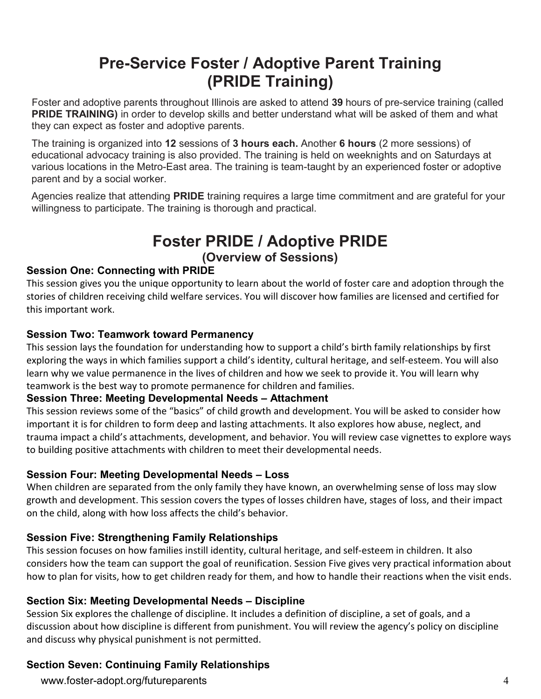### Pre-Service Foster / Adoptive Parent Training (PRIDE Training)

Foster and adoptive parents throughout Illinois are asked to attend 39 hours of pre-service training (called **PRIDE TRAINING)** in order to develop skills and better understand what will be asked of them and what they can expect as foster and adoptive parents.

The training is organized into 12 sessions of 3 hours each. Another 6 hours (2 more sessions) of educational advocacy training is also provided. The training is held on weeknights and on Saturdays at various locations in the Metro-East area. The training is team-taught by an experienced foster or adoptive parent and by a social worker.

Agencies realize that attending **PRIDE** training requires a large time commitment and are grateful for your willingness to participate. The training is thorough and practical.

# Foster PRIDE / Adoptive PRIDE

(Overview of Sessions)

#### Session One: Connecting with PRIDE

This session gives you the unique opportunity to learn about the world of foster care and adoption through the stories of children receiving child welfare services. You will discover how families are licensed and certified for this important work.

#### Session Two: Teamwork toward Permanency

This session lays the foundation for understanding how to support a child's birth family relationships by first exploring the ways in which families support a child's identity, cultural heritage, and self-esteem. You will also learn why we value permanence in the lives of children and how we seek to provide it. You will learn why teamwork is the best way to promote permanence for children and families.

#### Session Three: Meeting Developmental Needs – Attachment

This session reviews some of the "basics" of child growth and development. You will be asked to consider how important it is for children to form deep and lasting attachments. It also explores how abuse, neglect, and trauma impact a child's attachments, development, and behavior. You will review case vignettes to explore ways to building positive attachments with children to meet their developmental needs.

#### Session Four: Meeting Developmental Needs – Loss

When children are separated from the only family they have known, an overwhelming sense of loss may slow growth and development. This session covers the types of losses children have, stages of loss, and their impact on the child, along with how loss affects the child's behavior.

#### Session Five: Strengthening Family Relationships

This session focuses on how families instill identity, cultural heritage, and self-esteem in children. It also considers how the team can support the goal of reunification. Session Five gives very practical information about how to plan for visits, how to get children ready for them, and how to handle their reactions when the visit ends.

#### Section Six: Meeting Developmental Needs – Discipline

Session Six explores the challenge of discipline. It includes a definition of discipline, a set of goals, and a discussion about how discipline is different from punishment. You will review the agency's policy on discipline and discuss why physical punishment is not permitted.

#### Section Seven: Continuing Family Relationships

www.foster-adopt.org/futureparents 4